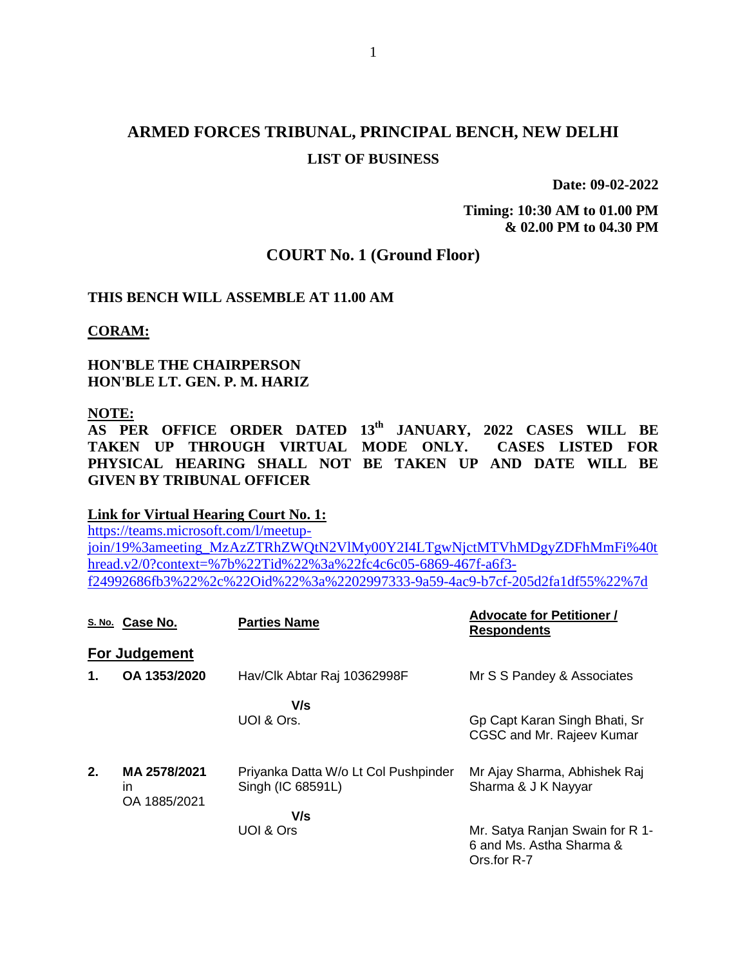# **ARMED FORCES TRIBUNAL, PRINCIPAL BENCH, NEW DELHI LIST OF BUSINESS**

**Date: 09-02-2022**

**Timing: 10:30 AM to 01.00 PM & 02.00 PM to 04.30 PM**

### **COURT No. 1 (Ground Floor)**

#### **THIS BENCH WILL ASSEMBLE AT 11.00 AM**

**CORAM:**

**HON'BLE THE CHAIRPERSON HON'BLE LT. GEN. P. M. HARIZ**

#### **NOTE:**

**AS PER OFFICE ORDER DATED 13th JANUARY, 2022 CASES WILL BE TAKEN UP THROUGH VIRTUAL MODE ONLY. CASES LISTED FOR PHYSICAL HEARING SHALL NOT BE TAKEN UP AND DATE WILL BE GIVEN BY TRIBUNAL OFFICER**

#### **Link for Virtual Hearing Court No. 1:**

[https://teams.microsoft.com/l/meetup](https://teams.microsoft.com/l/meetup-join/19%3ameeting_MzAzZTRhZWQtN2VlMy00Y2I4LTgwNjctMTVhMDgyZDFhMmFi%40thread.v2/0?context=%7b%22Tid%22%3a%22fc4c6c05-6869-467f-a6f3-f24992686fb3%22%2c%22Oid%22%3a%2202997333-9a59-4ac9-b7cf-205d2fa1df55%22%7d)[join/19%3ameeting\\_MzAzZTRhZWQtN2VlMy00Y2I4LTgwNjctMTVhMDgyZDFhMmFi%40t](https://teams.microsoft.com/l/meetup-join/19%3ameeting_MzAzZTRhZWQtN2VlMy00Y2I4LTgwNjctMTVhMDgyZDFhMmFi%40thread.v2/0?context=%7b%22Tid%22%3a%22fc4c6c05-6869-467f-a6f3-f24992686fb3%22%2c%22Oid%22%3a%2202997333-9a59-4ac9-b7cf-205d2fa1df55%22%7d) [hread.v2/0?context=%7b%22Tid%22%3a%22fc4c6c05-6869-467f-a6f3](https://teams.microsoft.com/l/meetup-join/19%3ameeting_MzAzZTRhZWQtN2VlMy00Y2I4LTgwNjctMTVhMDgyZDFhMmFi%40thread.v2/0?context=%7b%22Tid%22%3a%22fc4c6c05-6869-467f-a6f3-f24992686fb3%22%2c%22Oid%22%3a%2202997333-9a59-4ac9-b7cf-205d2fa1df55%22%7d) [f24992686fb3%22%2c%22Oid%22%3a%2202997333-9a59-4ac9-b7cf-205d2fa1df55%22%7d](https://teams.microsoft.com/l/meetup-join/19%3ameeting_MzAzZTRhZWQtN2VlMy00Y2I4LTgwNjctMTVhMDgyZDFhMmFi%40thread.v2/0?context=%7b%22Tid%22%3a%22fc4c6c05-6869-467f-a6f3-f24992686fb3%22%2c%22Oid%22%3a%2202997333-9a59-4ac9-b7cf-205d2fa1df55%22%7d)

|    | S. No. Case No.                    | <b>Parties Name</b>                                       | <b>Advocate for Petitioner /</b><br><b>Respondents</b>                     |
|----|------------------------------------|-----------------------------------------------------------|----------------------------------------------------------------------------|
|    | <b>For Judgement</b>               |                                                           |                                                                            |
| 1. | OA 1353/2020                       | Hav/Clk Abtar Raj 10362998F                               | Mr S S Pandey & Associates                                                 |
|    |                                    | V/s<br>UOI & Ors.                                         | Gp Capt Karan Singh Bhati, Sr<br>CGSC and Mr. Rajeev Kumar                 |
| 2. | MA 2578/2021<br>ın<br>OA 1885/2021 | Priyanka Datta W/o Lt Col Pushpinder<br>Singh (IC 68591L) | Mr Ajay Sharma, Abhishek Raj<br>Sharma & J K Nayyar                        |
|    |                                    | V/s<br>UOI & Ors                                          | Mr. Satya Ranjan Swain for R 1-<br>6 and Ms. Astha Sharma &<br>Ors.for R-7 |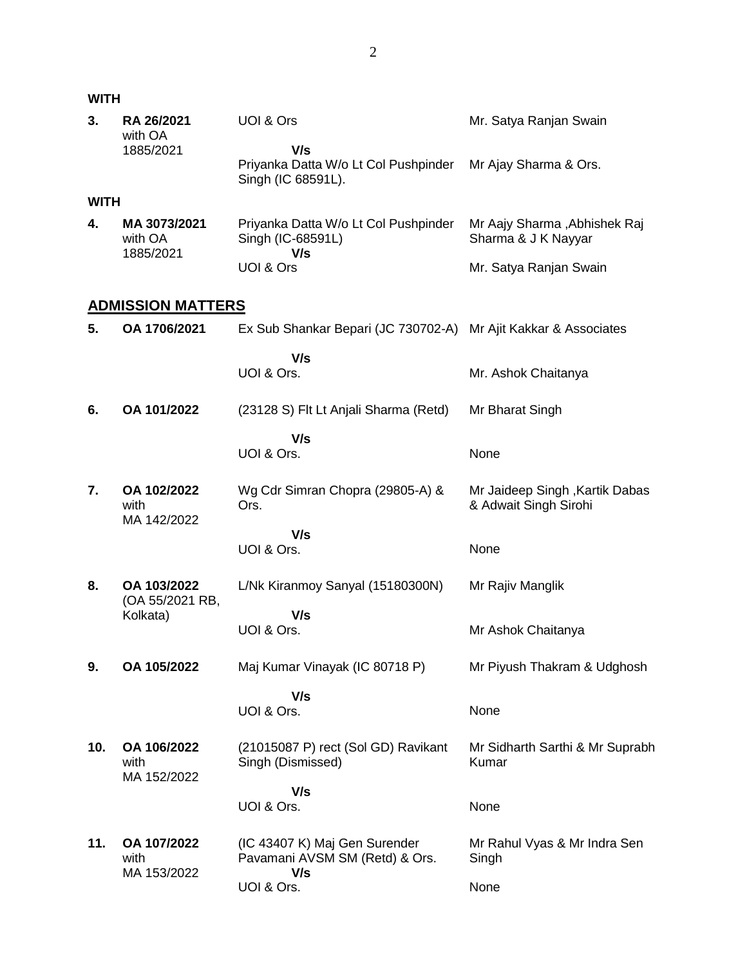| 3.          | RA 26/2021<br>with OA                | UOI & Ors                                                              | Mr. Satya Ranjan Swain                                  |
|-------------|--------------------------------------|------------------------------------------------------------------------|---------------------------------------------------------|
|             | 1885/2021                            | V/s<br>Priyanka Datta W/o Lt Col Pushpinder<br>Singh (IC 68591L).      | Mr Ajay Sharma & Ors.                                   |
| <b>WITH</b> |                                      |                                                                        |                                                         |
| 4.          | MA 3073/2021<br>with OA<br>1885/2021 | Priyanka Datta W/o Lt Col Pushpinder<br>Singh (IC-68591L)<br>V/s       | Mr Aajy Sharma, Abhishek Raj<br>Sharma & J K Nayyar     |
|             |                                      | UOI & Ors                                                              | Mr. Satya Ranjan Swain                                  |
|             | <b>ADMISSION MATTERS</b>             |                                                                        |                                                         |
| 5.          | OA 1706/2021                         | Ex Sub Shankar Bepari (JC 730702-A) Mr Ajit Kakkar & Associates        |                                                         |
|             |                                      | V/s                                                                    |                                                         |
|             |                                      | UOI & Ors.                                                             | Mr. Ashok Chaitanya                                     |
| 6.          | OA 101/2022                          | (23128 S) Flt Lt Anjali Sharma (Retd)                                  | Mr Bharat Singh                                         |
|             |                                      | V/s<br>UOI & Ors.                                                      | None                                                    |
| 7.          | OA 102/2022<br>with<br>MA 142/2022   | Wg Cdr Simran Chopra (29805-A) &<br>Ors.                               | Mr Jaideep Singh, Kartik Dabas<br>& Adwait Singh Sirohi |
|             |                                      | V/s                                                                    |                                                         |
|             |                                      | UOI & Ors.                                                             | None                                                    |
| 8.          | OA 103/2022<br>(OA 55/2021 RB,       | L/Nk Kiranmoy Sanyal (15180300N)                                       | Mr Rajiv Manglik                                        |
|             | Kolkata)                             | V/s<br>UOI & Ors.                                                      | Mr Ashok Chaitanya                                      |
| 9.          | OA 105/2022                          | Maj Kumar Vinayak (IC 80718 P)                                         | Mr Piyush Thakram & Udghosh                             |
|             |                                      | V/s                                                                    |                                                         |
|             |                                      | UOI & Ors.                                                             | None                                                    |
| 10.         | OA 106/2022<br>with<br>MA 152/2022   | (21015087 P) rect (Sol GD) Ravikant<br>Singh (Dismissed)               | Mr Sidharth Sarthi & Mr Suprabh<br>Kumar                |
|             |                                      | V/s                                                                    |                                                         |
|             |                                      | UOI & Ors.                                                             | None                                                    |
| 11.         | OA 107/2022<br>with<br>MA 153/2022   | (IC 43407 K) Maj Gen Surender<br>Pavamani AVSM SM (Retd) & Ors.<br>V/s | Mr Rahul Vyas & Mr Indra Sen<br>Singh                   |
|             |                                      | UOI & Ors.                                                             | None                                                    |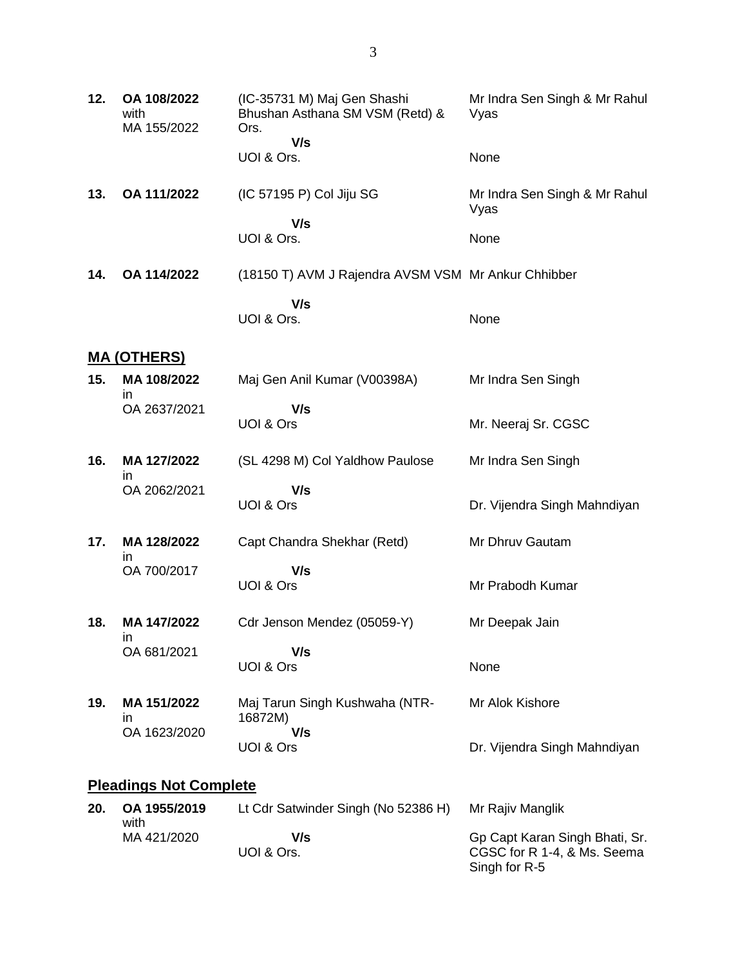| 12. | OA 108/2022<br>with<br>MA 155/2022 | (IC-35731 M) Maj Gen Shashi<br>Bhushan Asthana SM VSM (Retd) &<br>Ors. | Mr Indra Sen Singh & Mr Rahul<br>Vyas                         |
|-----|------------------------------------|------------------------------------------------------------------------|---------------------------------------------------------------|
|     |                                    | V/s<br>UOI & Ors.                                                      | None                                                          |
| 13. | OA 111/2022                        | (IC 57195 P) Col Jiju SG                                               | Mr Indra Sen Singh & Mr Rahul<br>Vyas                         |
|     |                                    | V/s<br>UOI & Ors.                                                      | None                                                          |
| 14. | OA 114/2022                        | (18150 T) AVM J Rajendra AVSM VSM Mr Ankur Chhibber                    |                                                               |
|     |                                    | V/s<br>UOI & Ors.                                                      | None                                                          |
|     | <u>MA (OTHERS)</u>                 |                                                                        |                                                               |
| 15. | MA 108/2022<br>in                  | Maj Gen Anil Kumar (V00398A)                                           | Mr Indra Sen Singh                                            |
|     | OA 2637/2021                       | V/s<br>UOI & Ors                                                       | Mr. Neeraj Sr. CGSC                                           |
| 16. | MA 127/2022<br>in                  | (SL 4298 M) Col Yaldhow Paulose                                        | Mr Indra Sen Singh                                            |
|     | OA 2062/2021                       | V/s<br>UOI & Ors                                                       | Dr. Vijendra Singh Mahndiyan                                  |
| 17. | MA 128/2022<br>ın                  | Capt Chandra Shekhar (Retd)                                            | Mr Dhruv Gautam                                               |
|     | OA 700/2017                        | V/s<br>UOI & Ors                                                       | Mr Prabodh Kumar                                              |
| 18. | MA 147/2022<br>ın                  | Cdr Jenson Mendez (05059-Y)                                            | Mr Deepak Jain                                                |
|     | OA 681/2021                        | V/s<br>UOI & Ors                                                       | None                                                          |
| 19. | MA 151/2022<br>ın                  | Maj Tarun Singh Kushwaha (NTR-<br>16872M)                              | Mr Alok Kishore                                               |
|     | OA 1623/2020                       | V/s<br>UOI & Ors                                                       | Dr. Vijendra Singh Mahndiyan                                  |
|     | <b>Pleadings Not Complete</b>      |                                                                        |                                                               |
| 20. | OA 1955/2019<br>with               | Lt Cdr Satwinder Singh (No 52386 H)                                    | Mr Rajiv Manglik                                              |
|     | MA 421/2020                        | V/s<br>UOI & Ors.                                                      | Gp Capt Karan Singh Bhati, Sr.<br>CGSC for R 1-4, & Ms. Seema |

Singh for R-5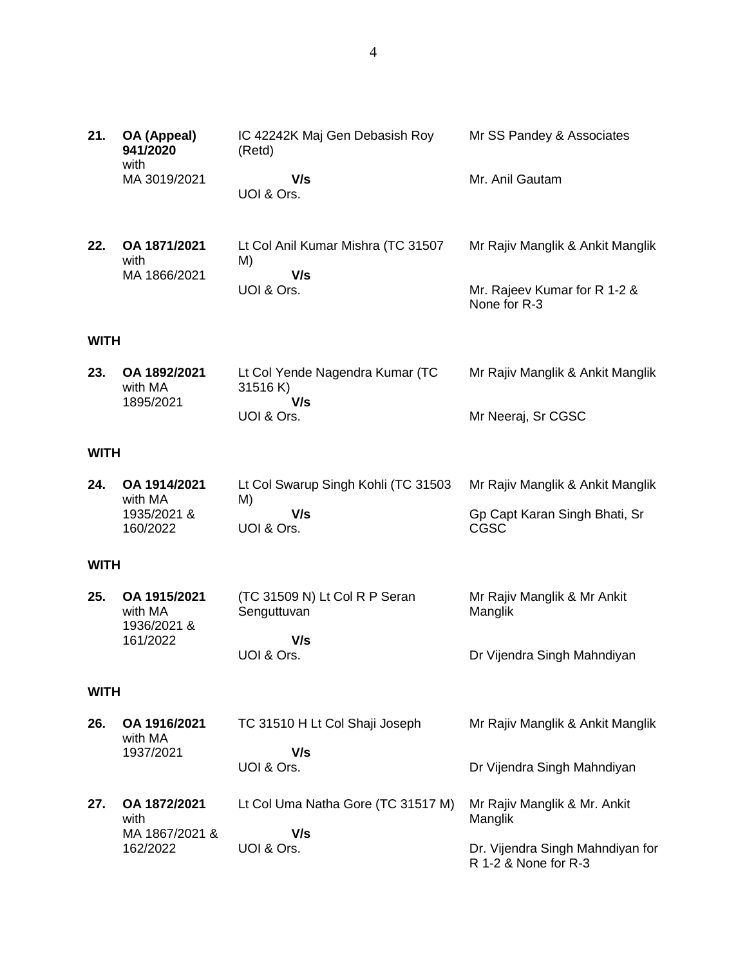| 21.         | OA (Appeal)<br>941/2020<br>with      | IC 42242K Maj Gen Debasish Roy<br>(Retd)          | Mr SS Pandey & Associates                    |
|-------------|--------------------------------------|---------------------------------------------------|----------------------------------------------|
|             | MA 3019/2021                         | V/s<br>UOI & Ors.                                 | Mr. Anil Gautam                              |
| 22.         | OA 1871/2021<br>with<br>MA 1866/2021 | Lt Col Anil Kumar Mishra (TC 31507<br>M)<br>V/s   | Mr Rajiv Manglik & Ankit Manglik             |
|             |                                      | UOI & Ors.                                        | Mr. Rajeev Kumar for R 1-2 &<br>None for R-3 |
| <b>WITH</b> |                                      |                                                   |                                              |
| 23.         | OA 1892/2021<br>with MA<br>1895/2021 | Lt Col Yende Nagendra Kumar (TC<br>31516K)<br>V/s | Mr Rajiv Manglik & Ankit Manglik             |
|             |                                      | UOI & Ors.                                        | Mr Neeraj, Sr CGSC                           |
| <b>WITH</b> |                                      |                                                   |                                              |
| 24.         | OA 1914/2021<br>with MA              | Lt Col Swarup Singh Kohli (TC 31503               | Mr Rajiv Manglik & Ankit Manglik             |
|             | 1935/2021 &<br>160/2022              | M)<br>V/s<br>UOI & Ors.                           | Gp Capt Karan Singh Bhati, Sr<br><b>CGSC</b> |
| <b>WITH</b> |                                      |                                                   |                                              |
|             |                                      |                                                   |                                              |

| 25. | OA 1915/2021 | (TC 31509 N) Lt Col R P Seran | Mr Rajiv Manglik & Mr Ankit |
|-----|--------------|-------------------------------|-----------------------------|
|     | with MA      | Senguttuvan                   | Manglik                     |
|     | 1936/2021 &  |                               |                             |
|     | 161/2022     | V/s                           |                             |
|     |              | UOI & Ors.                    | Dr Vijendra Singh Mahndiyan |
|     |              |                               |                             |

## **WITH**

162/2022

| 26. | OA 1916/2021<br>with MA | TC 31510 H Lt Col Shaji Joseph     | Mr Rajiv Manglik & Ankit Manglik        |
|-----|-------------------------|------------------------------------|-----------------------------------------|
|     | 1937/2021               | V/s<br>UOI & Ors.                  | Dr Vijendra Singh Mahndiyan             |
| 27. | OA 1872/2021<br>with    | Lt Col Uma Natha Gore (TC 31517 M) | Mr Rajiv Manglik & Mr. Ankit<br>Manglik |
|     | MA 1867/2021 &          | V/s                                |                                         |

UOI & Ors.

Dr. Vijendra Singh Mahndiyan for R 1-2 & None for R-3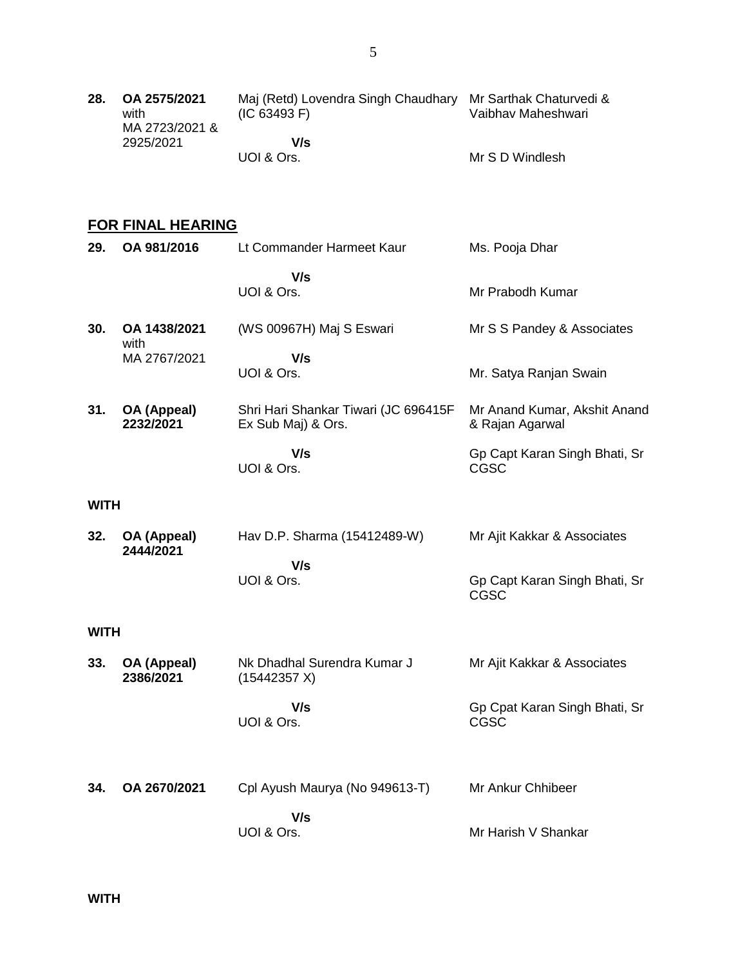| 28.         | OA 2575/2021<br>with<br>MA 2723/2021 &<br>2925/2021 | Maj (Retd) Lovendra Singh Chaudhary<br>(IC 63493 F)<br>V/s | Mr Sarthak Chaturvedi &<br>Vaibhav Maheshwari   |
|-------------|-----------------------------------------------------|------------------------------------------------------------|-------------------------------------------------|
|             |                                                     | UOI & Ors.                                                 | Mr S D Windlesh                                 |
|             | <b>FOR FINAL HEARING</b>                            |                                                            |                                                 |
| 29.         | OA 981/2016                                         | Lt Commander Harmeet Kaur                                  | Ms. Pooja Dhar                                  |
|             |                                                     | V/s<br>UOI & Ors.                                          | Mr Prabodh Kumar                                |
| 30.         | OA 1438/2021<br>with                                | (WS 00967H) Maj S Eswari                                   | Mr S S Pandey & Associates                      |
|             | MA 2767/2021                                        | V/s<br>UOI & Ors.                                          | Mr. Satya Ranjan Swain                          |
| 31.         | OA (Appeal)<br>2232/2021                            | Shri Hari Shankar Tiwari (JC 696415F<br>Ex Sub Maj) & Ors. | Mr Anand Kumar, Akshit Anand<br>& Rajan Agarwal |
|             |                                                     | V/s<br>UOI & Ors.                                          | Gp Capt Karan Singh Bhati, Sr<br>CGSC           |
| <b>WITH</b> |                                                     |                                                            |                                                 |
| 32.         | OA (Appeal)<br>2444/2021                            | Hav D.P. Sharma (15412489-W)                               | Mr Ajit Kakkar & Associates                     |
|             |                                                     | V/s<br>UOI & Ors.                                          | Gp Capt Karan Singh Bhati, Sr<br>CGSC           |
| WITH        |                                                     |                                                            |                                                 |
| 33.         | OA (Appeal)<br>2386/2021                            | Nk Dhadhal Surendra Kumar J<br>(15442357 X)                | Mr Ajit Kakkar & Associates                     |
|             |                                                     | V/s<br>UOI & Ors.                                          | Gp Cpat Karan Singh Bhati, Sr<br>CGSC           |
| 34.         | OA 2670/2021                                        | Cpl Ayush Maurya (No 949613-T)                             | Mr Ankur Chhibeer                               |
|             |                                                     | V/s<br>UOI & Ors.                                          | Mr Harish V Shankar                             |